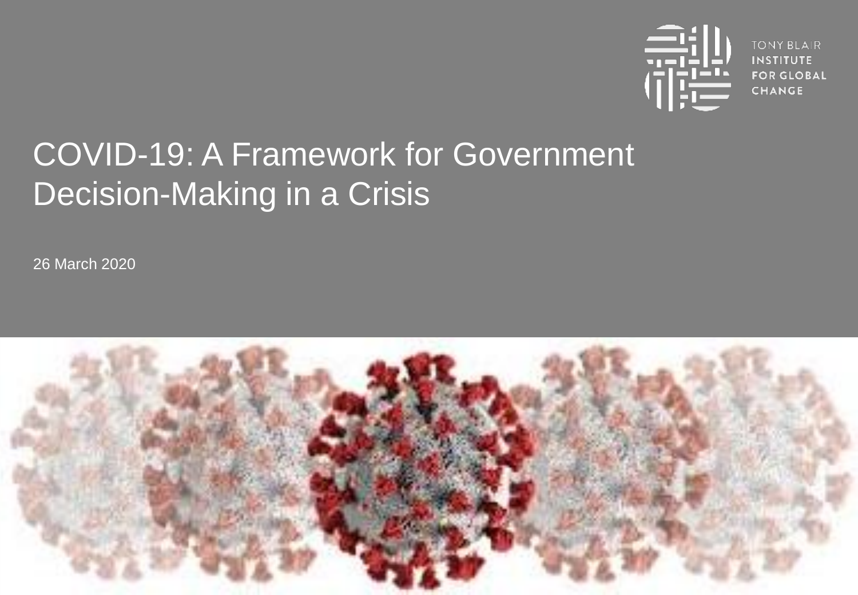

**TONY BLAIR INSTITUTE FOR GLOBAL CHANGE** 

# COVID-19: A Framework for Government Decision-Making in a Crisis

26 March 2020

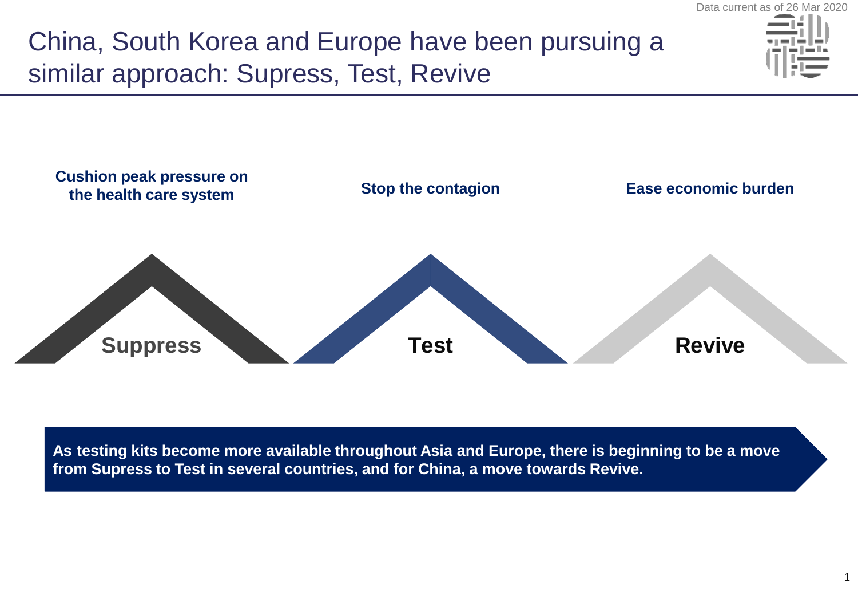China, South Korea and Europe have been pursuing a similar approach: Supress, Test, Revive



**As testing kits become more available throughout Asia and Europe, there is beginning to be a move from Supress to Test in several countries, and for China, a move towards Revive.**

Data current as of 26 Mar 2020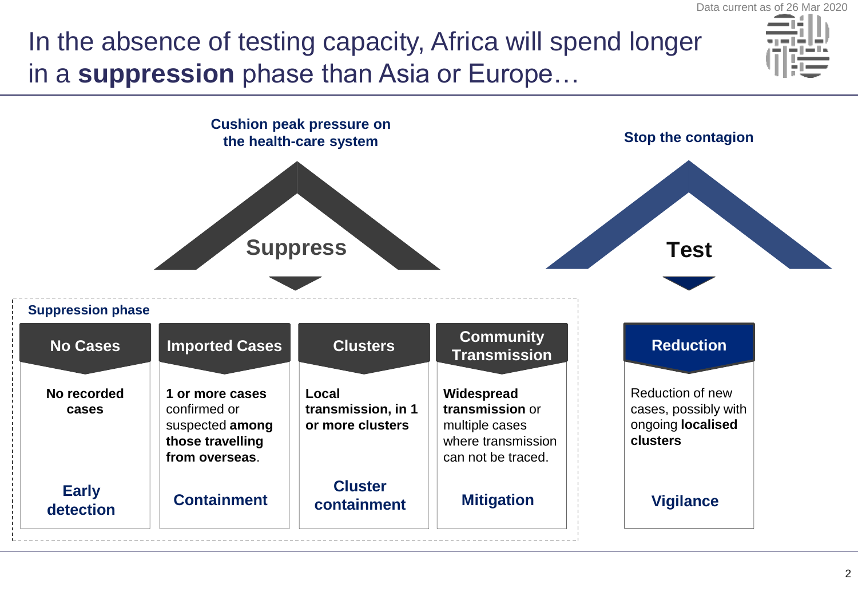### In the absence of testing capacity, Africa will spend longer in a **suppression** phase than Asia or Europe…



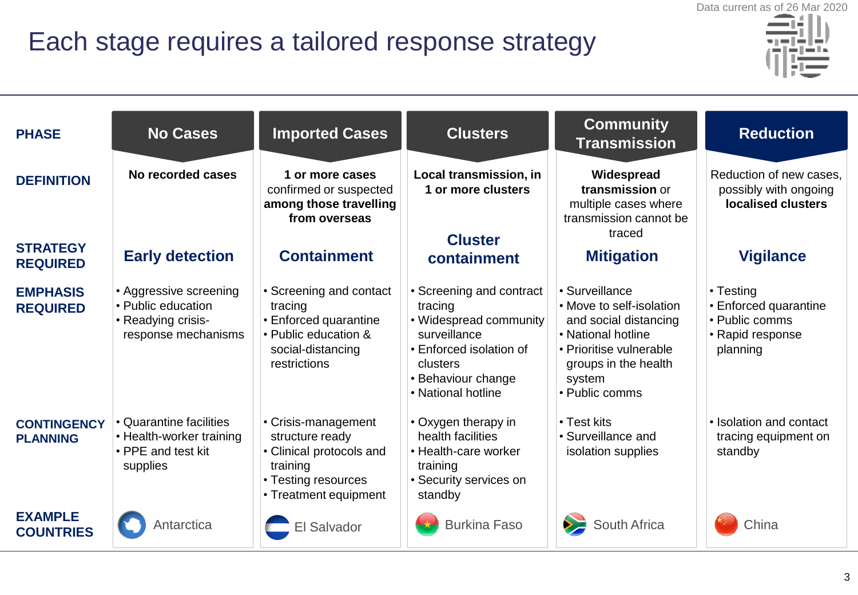### Each stage requires a tailored response strategy



| <b>PHASE</b>                          | <b>No Cases</b>                                                                           | <b>Imported Cases</b>                                                                                                          | <b>Clusters</b>                                                                                                                                                  | <b>Community</b><br><b>Transmission</b>                                                                                                                                  | <b>Reduction</b>                                                                     |
|---------------------------------------|-------------------------------------------------------------------------------------------|--------------------------------------------------------------------------------------------------------------------------------|------------------------------------------------------------------------------------------------------------------------------------------------------------------|--------------------------------------------------------------------------------------------------------------------------------------------------------------------------|--------------------------------------------------------------------------------------|
| <b>DEFINITION</b>                     | No recorded cases                                                                         | 1 or more cases<br>confirmed or suspected<br>among those travelling<br>from overseas                                           | Local transmission, in<br>1 or more clusters                                                                                                                     | Widespread<br>transmission or<br>multiple cases where<br>transmission cannot be                                                                                          | Reduction of new cases,<br>possibly with ongoing<br>localised clusters               |
| <b>STRATEGY</b><br><b>REQUIRED</b>    | <b>Early detection</b>                                                                    | <b>Containment</b>                                                                                                             | <b>Cluster</b><br>containment                                                                                                                                    | traced<br><b>Mitigation</b>                                                                                                                                              | <b>Vigilance</b>                                                                     |
| <b>EMPHASIS</b><br><b>REQUIRED</b>    | • Aggressive screening<br>• Public education<br>• Readying crisis-<br>response mechanisms | • Screening and contact<br>tracing<br>• Enforced quarantine<br>• Public education &<br>social-distancing<br>restrictions       | • Screening and contract<br>tracing<br>• Widespread community<br>surveillance<br>• Enforced isolation of<br>clusters<br>• Behaviour change<br>• National hotline | • Surveillance<br>• Move to self-isolation<br>and social distancing<br>• National hotline<br>• Prioritise vulnerable<br>groups in the health<br>system<br>• Public comms | • Testing<br>• Enforced quarantine<br>• Public comms<br>• Rapid response<br>planning |
| <b>CONTINGENCY</b><br><b>PLANNING</b> | • Quarantine facilities<br>• Health-worker training<br>• PPE and test kit<br>supplies     | • Crisis-management<br>structure ready<br>• Clinical protocols and<br>training<br>• Testing resources<br>• Treatment equipment | • Oxygen therapy in<br>health facilities<br>• Health-care worker<br>training<br>• Security services on<br>standby                                                | • Test kits<br>• Surveillance and<br>isolation supplies                                                                                                                  | • Isolation and contact<br>tracing equipment on<br>standby                           |
| <b>EXAMPLE</b><br><b>COUNTRIES</b>    | Antarctica                                                                                | <b>El Salvador</b>                                                                                                             | <b>Burkina Faso</b>                                                                                                                                              | South Africa                                                                                                                                                             | China                                                                                |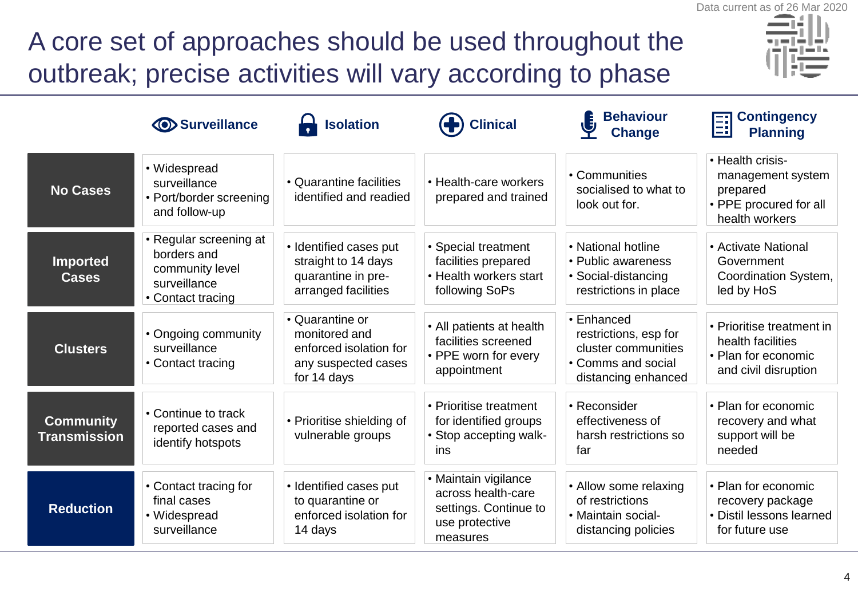# A core set of approaches should be used throughout the outbreak; precise activities will vary according to phase



|                                         | <b>O</b> Surveillance                                                                         | <b>Isolation</b>                                                                                 | <b>Clinical</b>                                                                                   | <b>Behaviour</b><br><b>Change</b>                                                                       | <b>Contingency</b><br>闓<br><b>Planning</b>                                                    |
|-----------------------------------------|-----------------------------------------------------------------------------------------------|--------------------------------------------------------------------------------------------------|---------------------------------------------------------------------------------------------------|---------------------------------------------------------------------------------------------------------|-----------------------------------------------------------------------------------------------|
| <b>No Cases</b>                         | • Widespread<br>surveillance<br>• Port/border screening<br>and follow-up                      | • Quarantine facilities<br>identified and readied                                                | • Health-care workers<br>prepared and trained                                                     | • Communities<br>socialised to what to<br>look out for.                                                 | • Health crisis-<br>management system<br>prepared<br>• PPE procured for all<br>health workers |
| <b>Imported</b><br><b>Cases</b>         | • Regular screening at<br>borders and<br>community level<br>surveillance<br>• Contact tracing | · Identified cases put<br>straight to 14 days<br>quarantine in pre-<br>arranged facilities       | • Special treatment<br>facilities prepared<br>• Health workers start<br>following SoPs            | • National hotline<br>• Public awareness<br>• Social-distancing<br>restrictions in place                | • Activate National<br>Government<br>Coordination System,<br>led by HoS                       |
| <b>Clusters</b>                         | • Ongoing community<br>surveillance<br>• Contact tracing                                      | • Quarantine or<br>monitored and<br>enforced isolation for<br>any suspected cases<br>for 14 days | • All patients at health<br>facilities screened<br>• PPE worn for every<br>appointment            | • Enhanced<br>restrictions, esp for<br>cluster communities<br>• Comms and social<br>distancing enhanced | • Prioritise treatment in<br>health facilities<br>• Plan for economic<br>and civil disruption |
| <b>Community</b><br><b>Transmission</b> | • Continue to track<br>reported cases and<br>identify hotspots                                | • Prioritise shielding of<br>vulnerable groups                                                   | • Prioritise treatment<br>for identified groups<br>• Stop accepting walk-<br>ins                  | • Reconsider<br>effectiveness of<br>harsh restrictions so<br>far                                        | • Plan for economic<br>recovery and what<br>support will be<br>needed                         |
| <b>Reduction</b>                        | • Contact tracing for<br>final cases<br>• Widespread<br>surveillance                          | • Identified cases put<br>to quarantine or<br>enforced isolation for<br>14 days                  | • Maintain vigilance<br>across health-care<br>settings. Continue to<br>use protective<br>measures | • Allow some relaxing<br>of restrictions<br>• Maintain social-<br>distancing policies                   | • Plan for economic<br>recovery package<br>• Distil lessons learned<br>for future use         |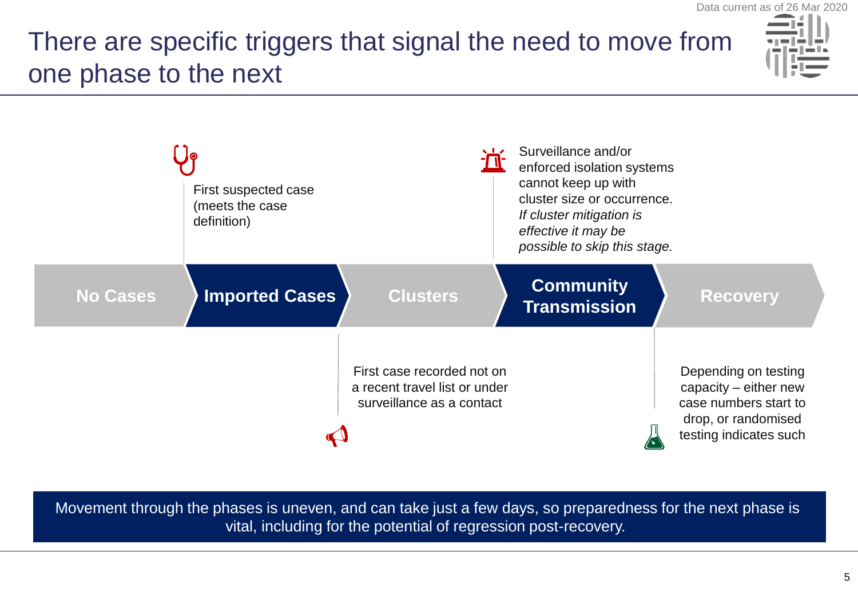### There are specific triggers that signal the need to move from one phase to the next



|                 | First suspected case<br>(meets the case<br>definition) |                                                                                          | Surveillance and/or<br>enforced isolation systems<br>cannot keep up with<br>cluster size or occurrence.<br>If cluster mitigation is<br>effective it may be<br>possible to skip this stage. |                                                                                                                         |
|-----------------|--------------------------------------------------------|------------------------------------------------------------------------------------------|--------------------------------------------------------------------------------------------------------------------------------------------------------------------------------------------|-------------------------------------------------------------------------------------------------------------------------|
| <b>No Cases</b> | <b>Imported Cases</b>                                  | <b>Clusters</b>                                                                          | <b>Community</b><br><b>Transmission</b>                                                                                                                                                    | <b>Recovery</b>                                                                                                         |
|                 |                                                        | First case recorded not on<br>a recent travel list or under<br>surveillance as a contact |                                                                                                                                                                                            | Depending on testing<br>capacity - either new<br>case numbers start to<br>drop, or randomised<br>testing indicates such |

Movement through the phases is uneven, and can take just a few days, so preparedness for the next phase is vital, including for the potential of regression post-recovery.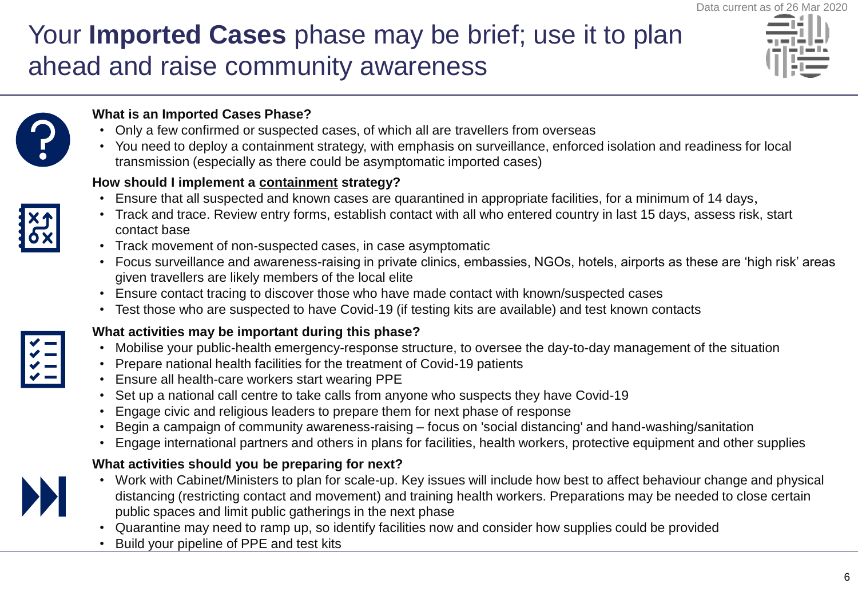### Your **Imported Cases** phase may be brief; use it to plan ahead and raise community awareness





### **What is an Imported Cases Phase?**

- Only a few confirmed or suspected cases, of which all are travellers from overseas
- You need to deploy a containment strategy, with emphasis on surveillance, enforced isolation and readiness for local transmission (especially as there could be asymptomatic imported cases)

### **How should I implement a containment strategy?**

- Ensure that all suspected and known cases are quarantined in appropriate facilities, for a minimum of 14 days,
- Track and trace. Review entry forms, establish contact with all who entered country in last 15 days, assess risk, start contact base
- Track movement of non-suspected cases, in case asymptomatic
- Focus surveillance and awareness-raising in private clinics, embassies, NGOs, hotels, airports as these are 'high risk' areas given travellers are likely members of the local elite
- Ensure contact tracing to discover those who have made contact with known/suspected cases
- Test those who are suspected to have Covid-19 (if testing kits are available) and test known contacts

### **What activities may be important during this phase?**

- Mobilise your public-health emergency-response structure, to oversee the day-to-day management of the situation
- Prepare national health facilities for the treatment of Covid-19 patients
- Ensure all health-care workers start wearing PPE
- Set up a national call centre to take calls from anyone who suspects they have Covid-19
- Engage civic and religious leaders to prepare them for next phase of response
- Begin a campaign of community awareness-raising focus on 'social distancing' and hand-washing/sanitation
- Engage international partners and others in plans for facilities, health workers, protective equipment and other supplies

#### **What activities should you be preparing for next?**

- Work with Cabinet/Ministers to plan for scale-up. Key issues will include how best to affect behaviour change and physical distancing (restricting contact and movement) and training health workers. Preparations may be needed to close certain public spaces and limit public gatherings in the next phase
- Quarantine may need to ramp up, so identify facilities now and consider how supplies could be provided
- Build your pipeline of PPE and test kits



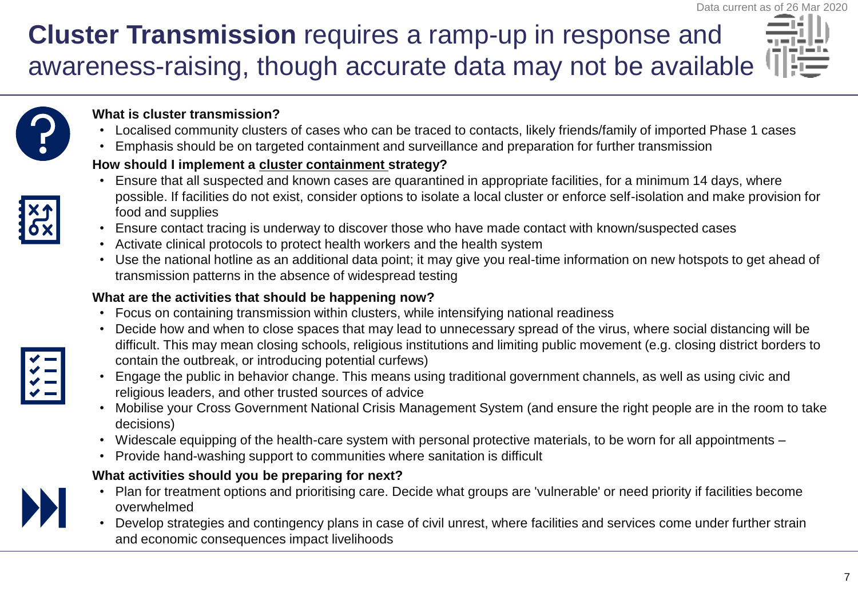### **Cluster Transmission** requires a ramp-up in response and awareness-raising, though accurate data may not be available





#### **What is cluster transmission?**

- Localised community clusters of cases who can be traced to contacts, likely friends/family of imported Phase 1 cases
- Emphasis should be on targeted containment and surveillance and preparation for further transmission

### **How should I implement a cluster containment strategy?**

- Ensure that all suspected and known cases are quarantined in appropriate facilities, for a minimum 14 days, where possible. If facilities do not exist, consider options to isolate a local cluster or enforce self-isolation and make provision for food and supplies
- Ensure contact tracing is underway to discover those who have made contact with known/suspected cases
- Activate clinical protocols to protect health workers and the health system
- Use the national hotline as an additional data point; it may give you real-time information on new hotspots to get ahead of transmission patterns in the absence of widespread testing

### **What are the activities that should be happening now?**

- Focus on containing transmission within clusters, while intensifying national readiness
- Decide how and when to close spaces that may lead to unnecessary spread of the virus, where social distancing will be difficult. This may mean closing schools, religious institutions and limiting public movement (e.g. closing district borders to contain the outbreak, or introducing potential curfews)
- Engage the public in behavior change. This means using traditional government channels, as well as using civic and religious leaders, and other trusted sources of advice
- Mobilise your Cross Government National Crisis Management System (and ensure the right people are in the room to take decisions)
- Widescale equipping of the health-care system with personal protective materials, to be worn for all appointments –
- Provide hand-washing support to communities where sanitation is difficult

### **What activities should you be preparing for next?**

- Plan for treatment options and prioritising care. Decide what groups are 'vulnerable' or need priority if facilities become overwhelmed
- Develop strategies and contingency plans in case of civil unrest, where facilities and services come under further strain and economic consequences impact livelihoods